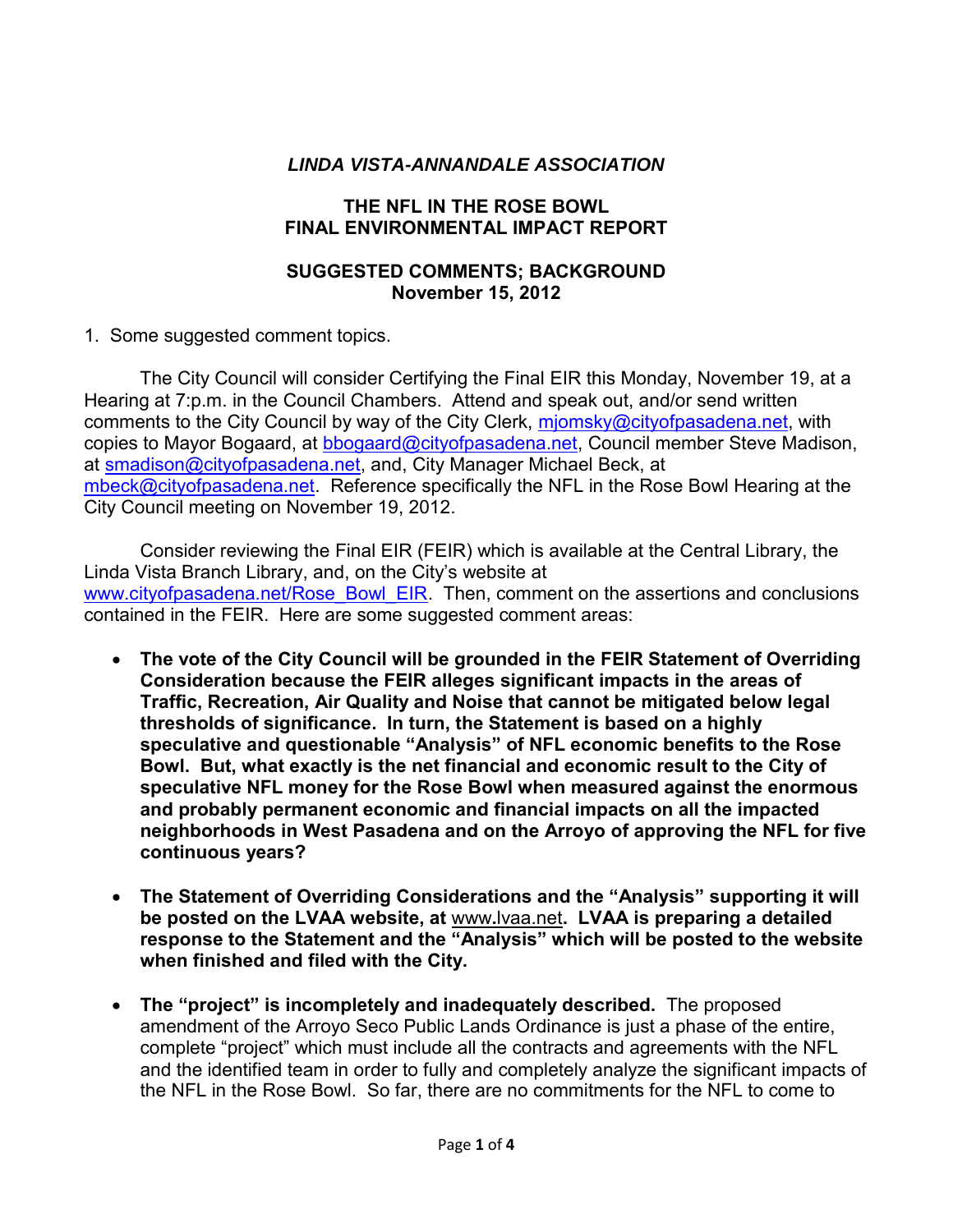## *LINDA VISTA-ANNANDALE ASSOCIATION*

## **THE NFL IN THE ROSE BOWL FINAL ENVIRONMENTAL IMPACT REPORT**

## **SUGGESTED COMMENTS; BACKGROUND November 15, 2012**

1. Some suggested comment topics.

 The City Council will consider Certifying the Final EIR this Monday, November 19, at a Hearing at 7:p.m. in the Council Chambers. Attend and speak out, and/or send written comments to the City Council by way of the City Clerk, [mjomsky@cityofpasadena.net,](mailto:mjomsky@cityofpasadena.net) with copies to Mayor Bogaard, at [bbogaard@cityofpasadena.net,](mailto:bbogaard@cityofpasadena.net) Council member Steve Madison, at [smadison@cityofpasadena.net,](mailto:smadison@cityofpasadena.net) and, City Manager Michael Beck, at [mbeck@cityofpasadena.net.](mailto:mbeck@cityofpasadena.net) Reference specifically the NFL in the Rose Bowl Hearing at the City Council meeting on November 19, 2012.

 Consider reviewing the Final EIR (FEIR) which is available at the Central Library, the Linda Vista Branch Library, and, on the City's website at [www.cityofpasadena.net/Rose\\_Bowl\\_EIR.](http://www.cityofpasadena.net/Rose_Bowl_EIR) Then, comment on the assertions and conclusions contained in the FEIR. Here are some suggested comment areas:

- **The vote of the City Council will be grounded in the FEIR Statement of Overriding Consideration because the FEIR alleges significant impacts in the areas of Traffic, Recreation, Air Quality and Noise that cannot be mitigated below legal thresholds of significance. In turn, the Statement is based on a highly speculative and questionable "Analysis" of NFL economic benefits to the Rose Bowl. But, what exactly is the net financial and economic result to the City of speculative NFL money for the Rose Bowl when measured against the enormous and probably permanent economic and financial impacts on all the impacted neighborhoods in West Pasadena and on the Arroyo of approving the NFL for five continuous years?**
- **The Statement of Overriding Considerations and the "Analysis" supporting it will be posted on the LVAA website, at** www**.**lvaa.net**. LVAA is preparing a detailed response to the Statement and the "Analysis" which will be posted to the website when finished and filed with the City.**
- **The "project" is incompletely and inadequately described.** The proposed amendment of the Arroyo Seco Public Lands Ordinance is just a phase of the entire, complete "project" which must include all the contracts and agreements with the NFL and the identified team in order to fully and completely analyze the significant impacts of the NFL in the Rose Bowl. So far, there are no commitments for the NFL to come to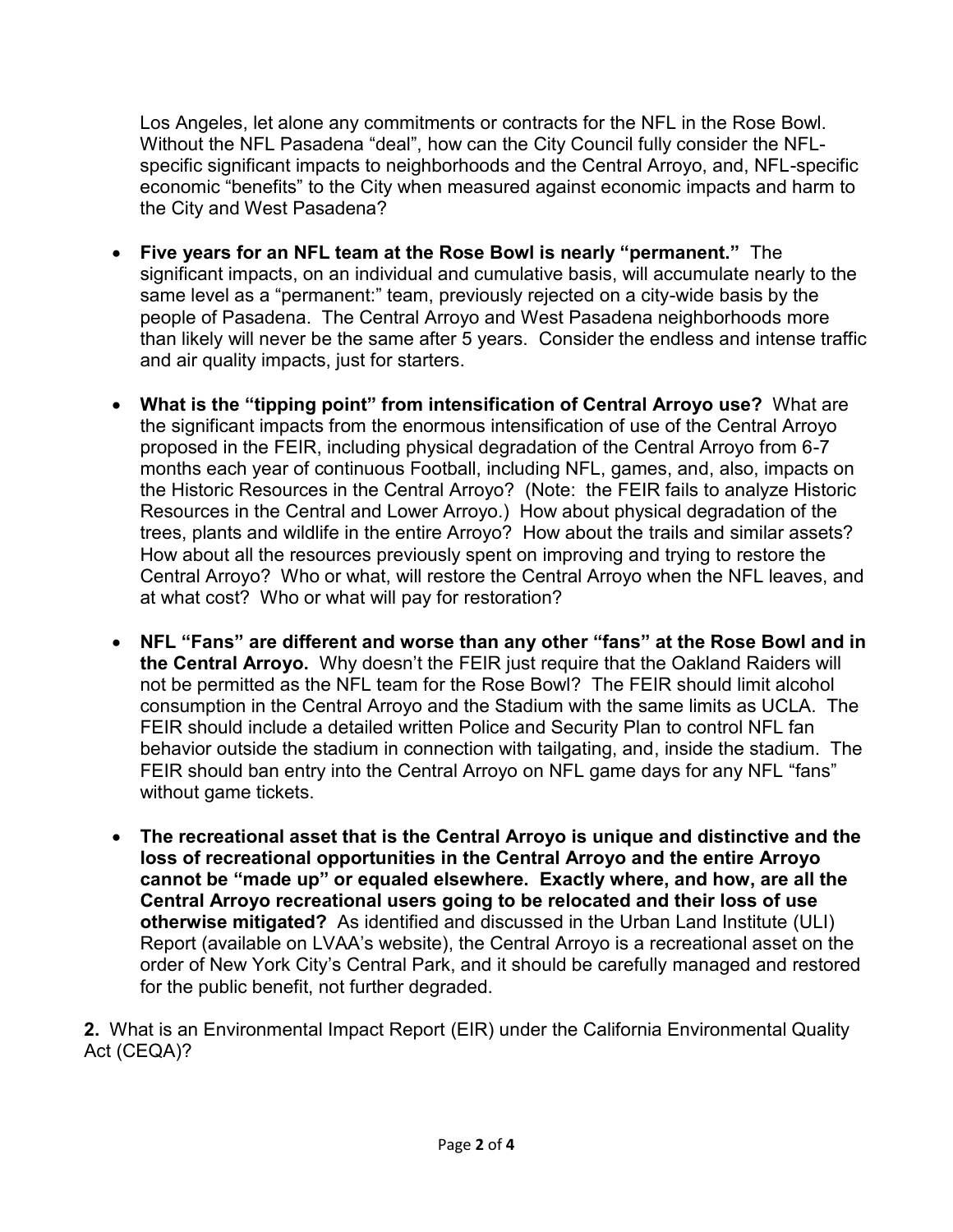Los Angeles, let alone any commitments or contracts for the NFL in the Rose Bowl. Without the NFL Pasadena "deal", how can the City Council fully consider the NFLspecific significant impacts to neighborhoods and the Central Arroyo, and, NFL-specific economic "benefits" to the City when measured against economic impacts and harm to the City and West Pasadena?

- **Five years for an NFL team at the Rose Bowl is nearly "permanent."** The significant impacts, on an individual and cumulative basis, will accumulate nearly to the same level as a "permanent:" team, previously rejected on a city-wide basis by the people of Pasadena. The Central Arroyo and West Pasadena neighborhoods more than likely will never be the same after 5 years. Consider the endless and intense traffic and air quality impacts, just for starters.
- **What is the "tipping point" from intensification of Central Arroyo use?** What are the significant impacts from the enormous intensification of use of the Central Arroyo proposed in the FEIR, including physical degradation of the Central Arroyo from 6-7 months each year of continuous Football, including NFL, games, and, also, impacts on the Historic Resources in the Central Arroyo? (Note: the FEIR fails to analyze Historic Resources in the Central and Lower Arroyo.) How about physical degradation of the trees, plants and wildlife in the entire Arroyo? How about the trails and similar assets? How about all the resources previously spent on improving and trying to restore the Central Arroyo? Who or what, will restore the Central Arroyo when the NFL leaves, and at what cost? Who or what will pay for restoration?
- **NFL "Fans" are different and worse than any other "fans" at the Rose Bowl and in the Central Arroyo.** Why doesn't the FEIR just require that the Oakland Raiders will not be permitted as the NFL team for the Rose Bowl? The FEIR should limit alcohol consumption in the Central Arroyo and the Stadium with the same limits as UCLA. The FEIR should include a detailed written Police and Security Plan to control NFL fan behavior outside the stadium in connection with tailgating, and, inside the stadium. The FEIR should ban entry into the Central Arroyo on NFL game days for any NFL "fans" without game tickets.
- **The recreational asset that is the Central Arroyo is unique and distinctive and the loss of recreational opportunities in the Central Arroyo and the entire Arroyo cannot be "made up" or equaled elsewhere. Exactly where, and how, are all the Central Arroyo recreational users going to be relocated and their loss of use otherwise mitigated?** As identified and discussed in the Urban Land Institute (ULI) Report (available on LVAA's website), the Central Arroyo is a recreational asset on the order of New York City's Central Park, and it should be carefully managed and restored for the public benefit, not further degraded.

**2.** What is an Environmental Impact Report (EIR) under the California Environmental Quality Act (CEQA)?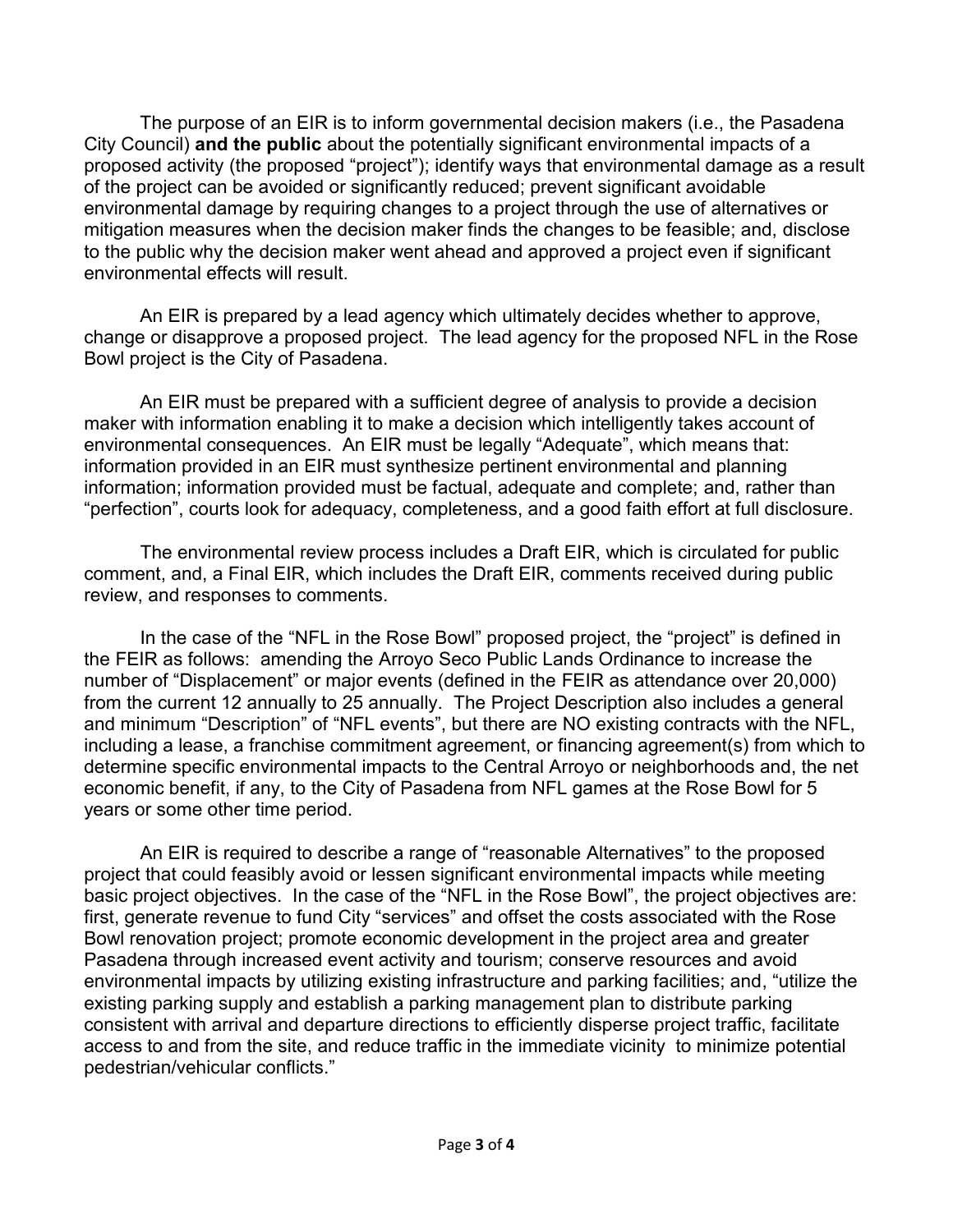The purpose of an EIR is to inform governmental decision makers (i.e., the Pasadena City Council) **and the public** about the potentially significant environmental impacts of a proposed activity (the proposed "project"); identify ways that environmental damage as a result of the project can be avoided or significantly reduced; prevent significant avoidable environmental damage by requiring changes to a project through the use of alternatives or mitigation measures when the decision maker finds the changes to be feasible; and, disclose to the public why the decision maker went ahead and approved a project even if significant environmental effects will result.

 An EIR is prepared by a lead agency which ultimately decides whether to approve, change or disapprove a proposed project. The lead agency for the proposed NFL in the Rose Bowl project is the City of Pasadena.

 An EIR must be prepared with a sufficient degree of analysis to provide a decision maker with information enabling it to make a decision which intelligently takes account of environmental consequences. An EIR must be legally "Adequate", which means that: information provided in an EIR must synthesize pertinent environmental and planning information; information provided must be factual, adequate and complete; and, rather than "perfection", courts look for adequacy, completeness, and a good faith effort at full disclosure.

 The environmental review process includes a Draft EIR, which is circulated for public comment, and, a Final EIR, which includes the Draft EIR, comments received during public review, and responses to comments.

In the case of the "NFL in the Rose Bowl" proposed project, the "project" is defined in the FEIR as follows: amending the Arroyo Seco Public Lands Ordinance to increase the number of "Displacement" or major events (defined in the FEIR as attendance over 20,000) from the current 12 annually to 25 annually. The Project Description also includes a general and minimum "Description" of "NFL events", but there are NO existing contracts with the NFL, including a lease, a franchise commitment agreement, or financing agreement(s) from which to determine specific environmental impacts to the Central Arroyo or neighborhoods and, the net economic benefit, if any, to the City of Pasadena from NFL games at the Rose Bowl for 5 years or some other time period.

 An EIR is required to describe a range of "reasonable Alternatives" to the proposed project that could feasibly avoid or lessen significant environmental impacts while meeting basic project objectives. In the case of the "NFL in the Rose Bowl", the project objectives are: first, generate revenue to fund City "services" and offset the costs associated with the Rose Bowl renovation project; promote economic development in the project area and greater Pasadena through increased event activity and tourism; conserve resources and avoid environmental impacts by utilizing existing infrastructure and parking facilities; and, "utilize the existing parking supply and establish a parking management plan to distribute parking consistent with arrival and departure directions to efficiently disperse project traffic, facilitate access to and from the site, and reduce traffic in the immediate vicinity to minimize potential pedestrian/vehicular conflicts."